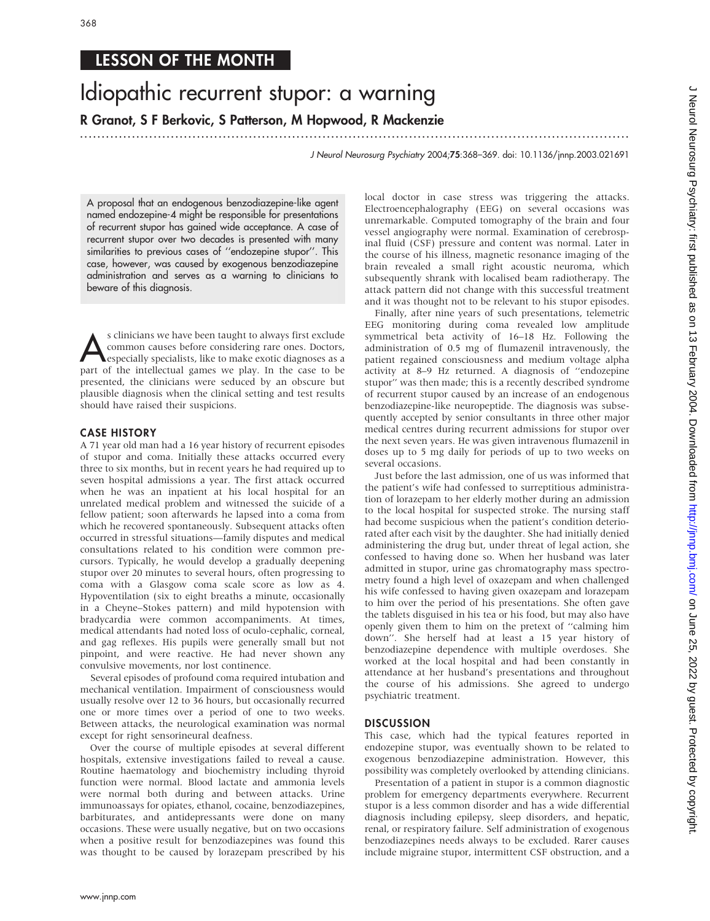### LESSON OF THE MONTH

# Idiopathic recurrent stupor: a warning

R Granot, S F Berkovic, S Patterson, M Hopwood, R Mackenzie

.............................................................................................................................. .

J Neurol Neurosurg Psychiatry 2004;75:368–369. doi: 10.1136/jnnp.2003.021691

A proposal that an endogenous benzodiazepine-like agent named endozepine-4 might be responsible for presentations of recurrent stupor has gained wide acceptance. A case of recurrent stupor over two decades is presented with many similarities to previous cases of ''endozepine stupor''. This case, however, was caused by exogenous benzodiazepine administration and serves as a warning to clinicians to beware of this diagnosis.

s clinicians we have been taught to always first exclude<br>
common causes before considering rare ones. Doctors,<br>
especially specialists, like to make exotic diagnoses as a<br>
part of the intellectual games we play. In the cas common causes before considering rare ones. Doctors, part of the intellectual games we play. In the case to be presented, the clinicians were seduced by an obscure but plausible diagnosis when the clinical setting and test results should have raised their suspicions.

#### CASE HISTORY

A 71 year old man had a 16 year history of recurrent episodes of stupor and coma. Initially these attacks occurred every three to six months, but in recent years he had required up to seven hospital admissions a year. The first attack occurred when he was an inpatient at his local hospital for an unrelated medical problem and witnessed the suicide of a fellow patient; soon afterwards he lapsed into a coma from which he recovered spontaneously. Subsequent attacks often occurred in stressful situations—family disputes and medical consultations related to his condition were common precursors. Typically, he would develop a gradually deepening stupor over 20 minutes to several hours, often progressing to coma with a Glasgow coma scale score as low as 4. Hypoventilation (six to eight breaths a minute, occasionally in a Cheyne–Stokes pattern) and mild hypotension with bradycardia were common accompaniments. At times, medical attendants had noted loss of oculo-cephalic, corneal, and gag reflexes. His pupils were generally small but not pinpoint, and were reactive. He had never shown any convulsive movements, nor lost continence.

Several episodes of profound coma required intubation and mechanical ventilation. Impairment of consciousness would usually resolve over 12 to 36 hours, but occasionally recurred one or more times over a period of one to two weeks. Between attacks, the neurological examination was normal except for right sensorineural deafness.

Over the course of multiple episodes at several different hospitals, extensive investigations failed to reveal a cause. Routine haematology and biochemistry including thyroid function were normal. Blood lactate and ammonia levels were normal both during and between attacks. Urine immunoassays for opiates, ethanol, cocaine, benzodiazepines, barbiturates, and antidepressants were done on many occasions. These were usually negative, but on two occasions when a positive result for benzodiazepines was found this was thought to be caused by lorazepam prescribed by his local doctor in case stress was triggering the attacks. Electroencephalography (EEG) on several occasions was unremarkable. Computed tomography of the brain and four vessel angiography were normal. Examination of cerebrospinal fluid (CSF) pressure and content was normal. Later in the course of his illness, magnetic resonance imaging of the brain revealed a small right acoustic neuroma, which subsequently shrank with localised beam radiotherapy. The attack pattern did not change with this successful treatment and it was thought not to be relevant to his stupor episodes.

Finally, after nine years of such presentations, telemetric EEG monitoring during coma revealed low amplitude symmetrical beta activity of 16–18 Hz. Following the administration of 0.5 mg of flumazenil intravenously, the patient regained consciousness and medium voltage alpha activity at 8–9 Hz returned. A diagnosis of ''endozepine stupor'' was then made; this is a recently described syndrome of recurrent stupor caused by an increase of an endogenous benzodiazepine-like neuropeptide. The diagnosis was subsequently accepted by senior consultants in three other major medical centres during recurrent admissions for stupor over the next seven years. He was given intravenous flumazenil in doses up to 5 mg daily for periods of up to two weeks on several occasions.

Just before the last admission, one of us was informed that the patient's wife had confessed to surreptitious administration of lorazepam to her elderly mother during an admission to the local hospital for suspected stroke. The nursing staff had become suspicious when the patient's condition deteriorated after each visit by the daughter. She had initially denied administering the drug but, under threat of legal action, she confessed to having done so. When her husband was later admitted in stupor, urine gas chromatography mass spectrometry found a high level of oxazepam and when challenged his wife confessed to having given oxazepam and lorazepam to him over the period of his presentations. She often gave the tablets disguised in his tea or his food, but may also have openly given them to him on the pretext of ''calming him down''. She herself had at least a 15 year history of benzodiazepine dependence with multiple overdoses. She worked at the local hospital and had been constantly in attendance at her husband's presentations and throughout the course of his admissions. She agreed to undergo psychiatric treatment.

#### **DISCUSSION**

This case, which had the typical features reported in endozepine stupor, was eventually shown to be related to exogenous benzodiazepine administration. However, this possibility was completely overlooked by attending clinicians.

Presentation of a patient in stupor is a common diagnostic problem for emergency departments everywhere. Recurrent stupor is a less common disorder and has a wide differential diagnosis including epilepsy, sleep disorders, and hepatic, renal, or respiratory failure. Self administration of exogenous benzodiazepines needs always to be excluded. Rarer causes include migraine stupor, intermittent CSF obstruction, and a